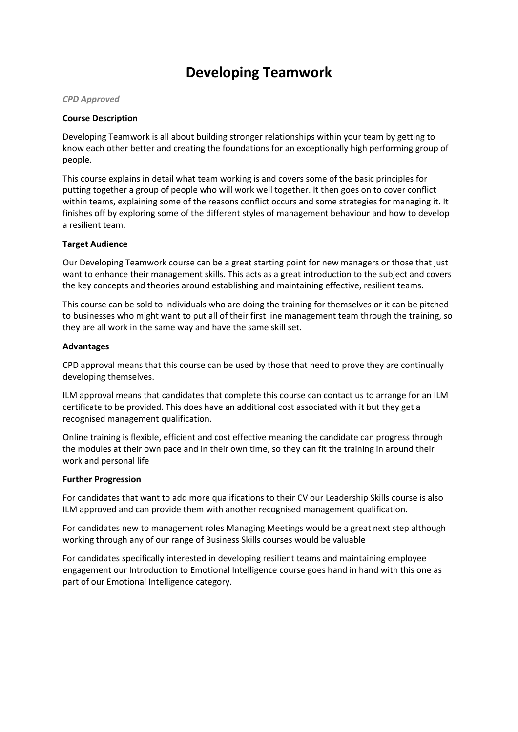# **Developing Teamwork**

#### *CPD Approved*

#### **Course Description**

Developing Teamwork is all about building stronger relationships within your team by getting to know each other better and creating the foundations for an exceptionally high performing group of people.

This course explains in detail what team working is and covers some of the basic principles for putting together a group of people who will work well together. It then goes on to cover conflict within teams, explaining some of the reasons conflict occurs and some strategies for managing it. It finishes off by exploring some of the different styles of management behaviour and how to develop a resilient team.

## **Target Audience**

Our Developing Teamwork course can be a great starting point for new managers or those that just want to enhance their management skills. This acts as a great introduction to the subject and covers the key concepts and theories around establishing and maintaining effective, resilient teams.

This course can be sold to individuals who are doing the training for themselves or it can be pitched to businesses who might want to put all of their first line management team through the training, so they are all work in the same way and have the same skill set.

#### **Advantages**

CPD approval means that this course can be used by those that need to prove they are continually developing themselves.

ILM approval means that candidates that complete this course can contact us to arrange for an ILM certificate to be provided. This does have an additional cost associated with it but they get a recognised management qualification.

Online training is flexible, efficient and cost effective meaning the candidate can progress through the modules at their own pace and in their own time, so they can fit the training in around their work and personal life

## **Further Progression**

For candidates that want to add more qualifications to their CV our Leadership Skills course is also ILM approved and can provide them with another recognised management qualification.

For candidates new to management roles Managing Meetings would be a great next step although working through any of our range of Business Skills courses would be valuable

For candidates specifically interested in developing resilient teams and maintaining employee engagement our Introduction to Emotional Intelligence course goes hand in hand with this one as part of our Emotional Intelligence category.